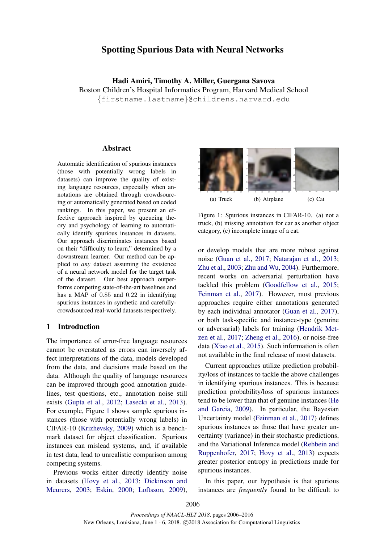# Spotting Spurious Data with Neural Networks

Hadi Amiri, Timothy A. Miller, Guergana Savova Boston Children's Hospital Informatics Program, Harvard Medical School {firstname.lastname}@childrens.harvard.edu

# Abstract

Automatic identification of spurious instances (those with potentially wrong labels in datasets) can improve the quality of existing language resources, especially when annotations are obtained through crowdsourcing or automatically generated based on coded rankings. In this paper, we present an effective approach inspired by queueing theory and psychology of learning to automatically identify spurious instances in datasets. Our approach discriminates instances based on their "difficulty to learn," determined by a downstream learner. Our method can be applied to *any* dataset assuming the existence of a neural network model for the target task of the dataset. Our best approach outperforms competing state-of-the-art baselines and has a MAP of 0.85 and 0.22 in identifying spurious instances in synthetic and carefullycrowdsourced real-world datasets respectively.

# 1 Introduction

The importance of error-free language resources cannot be overstated as errors can inversely affect interpretations of the data, models developed from the data, and decisions made based on the data. Although the quality of language resources can be improved through good annotation guidelines, test questions, etc., annotation noise still exists (Gupta et al., 2012; Lasecki et al., 2013). For example, Figure 1 shows sample spurious instances (those with potentially wrong labels) in CIFAR-10 (Krizhevsky, 2009) which is a benchmark dataset for object classification. Spurious instances can mislead systems, and, if available in test data, lead to unrealistic comparison among competing systems.

Previous works either directly identify noise in datasets (Hovy et al., 2013; Dickinson and Meurers, 2003; Eskin, 2000; Loftsson, 2009),



Figure 1: Spurious instances in CIFAR-10. (a) not a truck, (b) missing annotation for car as another object category, (c) incomplete image of a cat.

or develop models that are more robust against noise (Guan et al., 2017; Natarajan et al., 2013; Zhu et al., 2003; Zhu and Wu, 2004). Furthermore, recent works on adversarial perturbation have tackled this problem (Goodfellow et al., 2015; Feinman et al., 2017). However, most previous approaches require either annotations generated by each individual annotator (Guan et al., 2017), or both task-specific and instance-type (genuine or adversarial) labels for training (Hendrik Metzen et al., 2017; Zheng et al., 2016), or noise-free data (Xiao et al., 2015). Such information is often not available in the final release of most datasets.

Current approaches utilize prediction probability/loss of instances to tackle the above challenges in identifying spurious instances. This is because prediction probability/loss of spurious instances tend to be lower than that of genuine instances (He and Garcia, 2009). In particular, the Bayesian Uncertainty model (Feinman et al., 2017) defines spurious instances as those that have greater uncertainty (variance) in their stochastic predictions, and the Variational Inference model (Rehbein and Ruppenhofer, 2017; Hovy et al., 2013) expects greater posterior entropy in predictions made for spurious instances.

In this paper, our hypothesis is that spurious instances are *frequently* found to be difficult to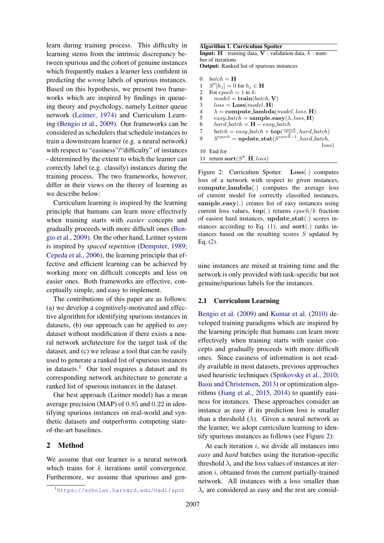learn during training process. This difficulty in learning stems from the intrinsic discrepancy between spurious and the cohort of genuine instances which frequently makes a learner less confident in predicting the *wrong* labels of spurious instances. Based on this hypothesis, we present two frameworks which are inspired by findings in queueing theory and psychology, namely Leitner queue network (Leitner, 1974) and Curriculum Learning (Bengio et al., 2009). Our frameworks can be considered as schedulers that schedule instances to train a downstream learner (e.g. a neural network) with respect to "easiness"/"difficulty" of instances - determined by the extent to which the learner can correctly label (e.g. classify) instances during the training process. The two frameworks, however, differ in their views on the theory of learning as we describe below:

Curriculum learning is inspired by the learning principle that humans can learn more effectively when training starts with *easier* concepts and gradually proceeds with more difficult ones (Bengio et al., 2009). On the other hand, Leitner system is inspired by *spaced repetition* (Dempster, 1989; Cepeda et al., 2006), the learning principle that effective and efficient learning can be achieved by working more on difficult concepts and less on easier ones. Both frameworks are effective, conceptually simple, and easy to implement.

The contributions of this paper are as follows: (a) we develop a cognitively-motivated and effective algorithm for identifying spurious instances in datasets, (b) our approach can be applied to *any* dataset without modification if there exists a neural network architecture for the target task of the dataset, and (c) we release a tool that can be easily used to generate a ranked list of spurious instances in datasets.<sup>1</sup> Our tool requires a dataset and its corresponding network architecture to generate a ranked list of spurious instances in the dataset.

Our best approach (Leitner model) has a mean average precision (MAP) of 0.85 and 0.22 in identifying spurious instances on real-world and synthetic datasets and outperforms competing stateof-the-art baselines.

### 2 Method

We assume that our learner is a neural network which trains for  $k$  iterations until convergence. Furthermore, we assume that spurious and gen-

### Algorithm 1. Curriculum Spotter

```
Input: H : training data, V : validation data, k : num-
ber of iterations
```
Output: Ranked list of spurious instances

0  $batch = H$  $\begin{bmatrix} 1 & S^0[h_j] = 0 \text{ for } h_j \in \mathbf{H} \end{bmatrix}$ 2 For  $epoch = 1$  to  $k$ : 8  $model = \text{train}(batch, V)$ <br>3  $loss = Loss(model, H)$  $loss = Loss(model, H)$ 4  $\lambda$  = compute lambda(*model*, loss, **H**)<br>5  $easubatch$  = sample easy( $\lambda$ , loss, **H**)  $easy\_batch = sample\_easy(\lambda, loss, H)$ 6 hard\_batch =  $H - easy\_batch$ <br>7 batch = easy\_batch + top( $\frac{epo}{e}$ ) 7 batch = easy\_batch +  $\textbf{top}(\frac{epoch}{k}, hard\_batch)$  $9S^{epoch} = \textbf{update\_stat}(S^{epoch-1}, hard\_batch),$ loss) 10 End for 11 return sort  $(S^k, H, loss)$ 

Figure 2: Curriculum Spotter. Loss(.) computes loss of a network with respect to given instances, compute lambda(.) computes the average loss of current model for correctly classified instances, sample\_easy(.) creates list of easy instances using current loss values,  $top(.)$  returns  $epoch/k$  fraction of easiest hard instances, update stat(.) scores instances according to Eq.  $(1)$ , and sort $(.)$  ranks instances based on the resulting scores  $S$  updated by Eq. (2).

uine instances are mixed at training time and the network is only provided with task-specific but not genuine/spurious labels for the instances.

### 2.1 Curriculum Learning

Bengio et al. (2009) and Kumar et al. (2010) developed training paradigms which are inspired by the learning principle that humans can learn more effectively when training starts with easier concepts and gradually proceeds with more difficult ones. Since easiness of information is not readily available in most datasets, previous approaches used heuristic techniques (Spitkovsky et al., 2010; Basu and Christensen, 2013) or optimization algorithms (Jiang et al., 2015, 2014) to quantify easiness for instances. These approaches consider an instance as easy if its prediction loss is smaller than a threshold  $(\lambda)$ . Given a neural network as the learner, we adopt curriculum learning to identify spurious instances as follows (see Figure 2):

At each iteration  $i$ , we divide all instances into *easy* and *hard* batches using the iteration-specific threshold  $\lambda_i$  and the loss values of instances at iteration  $i$ , obtained from the current partially-trained network. All instances with a loss smaller than  $\lambda_i$  are considered as easy and the rest are consid-

<sup>1</sup>https://scholar.harvard.edu/hadi/spot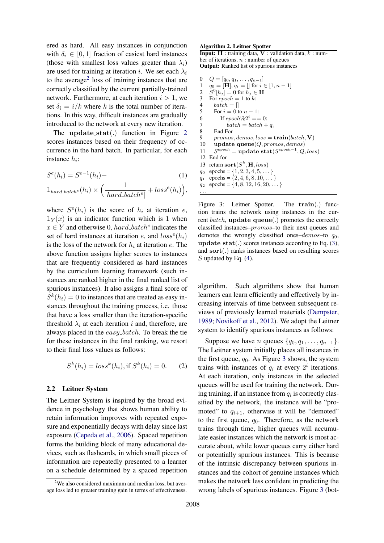ered as hard. All easy instances in conjunction with  $\delta_i \in [0, 1]$  fraction of easiest hard instances (those with smallest loss values greater than  $\lambda_i$ ) are used for training at iteration i. We set each  $\lambda_i$ to the average<sup>2</sup> loss of training instances that are correctly classified by the current partially-trained network. Furthermore, at each iteration  $i > 1$ , we set  $\delta_i = i/k$  where k is the total number of iterations. In this way, difficult instances are gradually introduced to the network at every new iteration.

The update stat(.) function in Figure 2 scores instances based on their frequency of occurrence in the hard batch. In particular, for each instance  $h_i$ :

$$
S^{e}(h_{i}) = S^{e-1}(h_{i}) + \tag{1}
$$

$$
\mathbb{1}_{\text{hard-batch}^{e}}(h_{i}) \times \left(\frac{1}{|\text{hard-batch}^{e}|} + \text{loss}^{e}(h_{i})\right),
$$

where  $S^{e}(h_i)$  is the score of  $h_i$  at iteration  $e$ ,  $\mathbb{1}_Y(x)$  is an indicator function which is 1 when  $x \in Y$  and otherwise 0,  $hard\_batch^e$  indicates the set of hard instances at iteration e, and  $loss^{e}(h_i)$ is the loss of the network for  $h_i$  at iteration e. The above function assigns higher scores to instances that are frequently considered as hard instances by the curriculum learning framework (such instances are ranked higher in the final ranked list of spurious instances). It also assigns a final score of  $S^k(h_i) = 0$  to instances that are treated as easy instances throughout the training process, i.e. those that have a loss smaller than the iteration-specific threshold  $\lambda_i$  at each iteration i and, therefore, are always placed in the easy batch. To break the tie for these instances in the final ranking, we resort to their final loss values as follows:

$$
S^k(h_i) = loss^k(h_i), \text{if } S^k(h_i) = 0. \tag{2}
$$

#### 2.2 Leitner System

The Leitner System is inspired by the broad evidence in psychology that shows human ability to retain information improves with repeated exposure and exponentially decays with delay since last exposure (Cepeda et al., 2006). Spaced repetition forms the building block of many educational devices, such as flashcards, in which small pieces of information are repeatedly presented to a learner on a schedule determined by a spaced repetition

#### Algorithm 2. Leitner Spotter

**Input:** H : training data,  $V$  : validation data,  $k$  : number of iterations,  $n$ : number of queues Output: Ranked list of spurious instances

0  $Q = [q_0, q_1, \ldots, q_{n-1}]$ <br>
1  $q_0 = [\mathbf{H}], q_i = []$  for i 1  $q_0 = [\mathbf{H}], q_i = []$  for  $i \in [1, n-1]$ <br>2  $S^0[h_i] = 0$  for  $h_i \in \mathbf{H}$ 2  $S^0[h_j] = 0$  for  $h_j \in \mathbf{H}$ 3 For epoch = 1 to k:<br>4  $batch = \Box$ 4  $batch = []$ <br>5 For  $i = 0$  1 5 For  $i = 0$  to  $n - 1$ :<br>6 If  $\epsilon$ poch%2<sup>i</sup> == 6 If  $epoch\%2^i == 0:$ <br>7  $batch = batch +$  $\dot{b} \text{atch} = \text{batch} + q_i$ 8 End For<br>9  $\frac{1}{100}$  $promos, demos, loss = train(batch, V)$ 10 update\_queue $(Q, promos, demos)$  $11$  $e^{epoch} = \textbf{update\_stat}(S^{epoch-1}, Q, loss)$ 12 End for 13 return sort $(S^k, H, loss)$  $q_0$  epochs =  $\{1, 2, 3, 4, 5, \dots\}$  $q_1$  epochs = {2, 4, 6, 8, 10, ...}  $q_2$  epochs = {4, 8, 12, 16, 20, ...}  $\geq$ .

Figure 3: Leitner Spotter. The train(.) function trains the network using instances in the current *batch*,  $update\_queue(.)$  promotes the correctly classified instances–promos–to their next queues and demotes the wrongly classified ones–demos–to  $q_0$ , update stat(.) scores instances according to Eq. (3), and sort(.) ranks instances based on resulting scores S updated by Eq.  $(4)$ .

algorithm. Such algorithms show that human learners can learn efficiently and effectively by increasing intervals of time between subsequent reviews of previously learned materials (Dempster, 1989; Novikoff et al., 2012). We adopt the Leitner system to identify spurious instances as follows:

Suppose we have *n* queues  $\{q_0, q_1, \ldots, q_{n-1}\}.$ The Leitner system initially places all instances in the first queue,  $q_0$ . As Figure 3 shows, the system trains with instances of  $q_i$  at every  $2^i$  iterations. At each iteration, only instances in the selected queues will be used for training the network. During training, if an instance from  $q_i$  is correctly classified by the network, the instance will be "promoted" to  $q_{i+1}$ , otherwise it will be "demoted" to the first queue,  $q_0$ . Therefore, as the network trains through time, higher queues will accumulate easier instances which the network is most accurate about, while lower queues carry either hard or potentially spurious instances. This is because of the intrinsic discrepancy between spurious instances and the cohort of genuine instances which makes the network less confident in predicting the wrong labels of spurious instances. Figure 3 (bot-

 $2$ We also considered maximum and median loss, but average loss led to greater training gain in terms of effectiveness.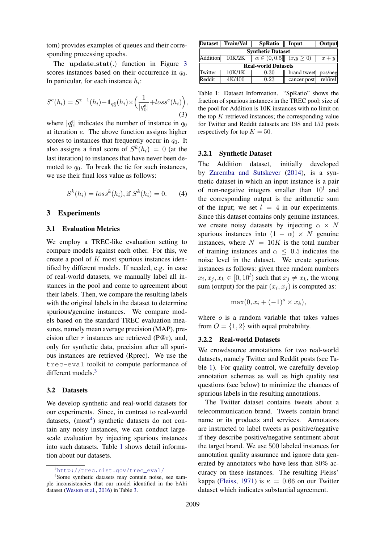tom) provides examples of queues and their corresponding processing epochs.

The update\_stat(.) function in Figure 3 scores instances based on their occurrence in  $q_0$ . In particular, for each instance  $h_i$ :

$$
S^{e}(h_{i}) = S^{e-1}(h_{i}) + \mathbb{1}_{q_{0}^{e}}(h_{i}) \times \left(\frac{1}{|q_{0}^{e}|} + loss^{e}(h_{i})\right),
$$
\n(3)

where  $|q_0^e|$  indicates the number of instance in  $q_0$ at iteration e. The above function assigns higher scores to instances that frequently occur in  $q_0$ . It also assigns a final score of  $S^k(h_i) = 0$  (at the last iteration) to instances that have never been demoted to  $q_0$ . To break the tie for such instances, we use their final loss value as follows:

$$
S^k(h_i) = loss^k(h_i), \text{if } S^k(h_i) = 0. \tag{4}
$$

### 3 Experiments

### 3.1 Evaluation Metrics

We employ a TREC-like evaluation setting to compare models against each other. For this, we create a pool of K most spurious instances identified by different models. If needed, e.g. in case of real-world datasets, we manually label all instances in the pool and come to agreement about their labels. Then, we compare the resulting labels with the original labels in the dataset to determine spurious/genuine instances. We compare models based on the standard TREC evaluation measures, namely mean average precision (MAP), precision after r instances are retrieved (P@r), and, only for synthetic data, precision after all spurious instances are retrieved (Rprec). We use the trec-eval toolkit to compute performance of different models.<sup>3</sup>

#### 3.2 Datasets

We develop synthetic and real-world datasets for our experiments. Since, in contrast to real-world datasets, (most<sup>4</sup>) synthetic datasets do not contain any noisy instances, we can conduct largescale evaluation by injecting spurious instances into such datasets. Table 1 shows detail information about our datasets.

| Dataset                    | Train/Val | <b>SpRatio</b>                       | Input       | Output   |  |
|----------------------------|-----------|--------------------------------------|-------------|----------|--|
| <b>Synthetic Dataset</b>   |           |                                      |             |          |  |
| Addition                   | 10K/2K    | $\alpha \in (0, 0.5]$ $(x, y \ge 0)$ |             | $x + y$  |  |
| <b>Real-world Datasets</b> |           |                                      |             |          |  |
| Twitter                    | 10K/1K    | 0.30                                 | brand tweet | pos/neg  |  |
| Reddit                     | 4K/400    | 0.23                                 | cancer post | rel/irel |  |

Table 1: Dataset Information. "SpRatio" shows the fraction of spurious instances in the TREC pool; size of the pool for Addition is 10K instances with no limit on the top  $K$  retrieved instances; the corresponding value for Twitter and Reddit datasets are 198 and 152 posts respectively for top  $K = 50$ .

#### 3.2.1 Synthetic Dataset

The Addition dataset, initially developed by Zaremba and Sutskever (2014), is a synthetic dataset in which an input instance is a pair of non-negative integers smaller than  $10<sup>l</sup>$  and the corresponding output is the arithmetic sum of the input; we set  $l = 4$  in our experiments. Since this dataset contains only genuine instances, we create noisy datasets by injecting  $\alpha \times N$ spurious instances into  $(1 - \alpha) \times N$  genuine instances, where  $N = 10K$  is the total number of training instances and  $\alpha \leq 0.5$  indicates the noise level in the dataset. We create spurious instances as follows: given three random numbers  $x_i, x_j, x_k \in [0, 10^l)$  such that  $x_j \neq x_k$ , the wrong sum (output) for the pair  $(x_i, x_j)$  is computed as:

$$
\max(0, x_i + (-1)^o \times x_k),
$$

where  $\sigma$  is a random variable that takes values from  $O = \{1, 2\}$  with equal probability.

#### 3.2.2 Real-world Datasets

We crowdsource annotations for two real-world datasets, namely Twitter and Reddit posts (see Table 1). For quality control, we carefully develop annotation schemas as well as high quality test questions (see below) to minimize the chances of spurious labels in the resulting annotations.

The Twitter dataset contains tweets about a telecommunication brand. Tweets contain brand name or its products and services. Annotators are instructed to label tweets as positive/negative if they describe positive/negative sentiment about the target brand. We use 500 labeled instances for annotation quality assurance and ignore data generated by annotators who have less than 80% accuracy on these instances. The resulting Fleiss' kappa (Fleiss, 1971) is  $\kappa = 0.66$  on our Twitter dataset which indicates substantial agreement.

<sup>3</sup>http://trec.nist.gov/trec\_eval/

<sup>4</sup> Some synthetic datasets may contain noise, see sample inconsistencies that our model identified in the bAbi dataset (Weston et al., 2016) in Table 3.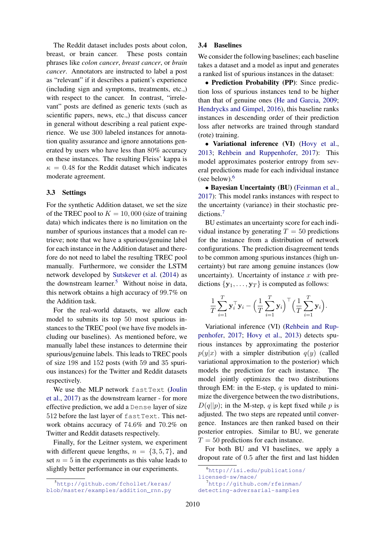The Reddit dataset includes posts about colon, breast, or brain cancer. These posts contain phrases like *colon cancer*, *breast cancer*, or *brain cancer*. Annotators are instructed to label a post as "relevant" if it describes a patient's experience (including sign and symptoms, treatments, etc.,) with respect to the cancer. In contrast, "irrelevant" posts are defined as generic texts (such as scientific papers, news, etc.,) that discuss cancer in general without describing a real patient experience. We use 300 labeled instances for annotation quality assurance and ignore annotations generated by users who have less than 80% accuracy on these instances. The resulting Fleiss' kappa is  $\kappa = 0.48$  for the Reddit dataset which indicates moderate agreement.

### 3.3 Settings

For the synthetic Addition dataset, we set the size of the TREC pool to  $K = 10,000$  (size of training data) which indicates there is no limitation on the number of spurious instances that a model can retrieve; note that we have a spurious/genuine label for each instance in the Addition dataset and therefore do not need to label the resulting TREC pool manually. Furthermore, we consider the LSTM network developed by Sutskever et al. (2014) as the downstream learner.<sup>5</sup> Without noise in data, this network obtains a high accuracy of 99.7% on the Addition task.

For the real-world datasets, we allow each model to submits its top 50 most spurious instances to the TREC pool (we have five models including our baselines). As mentioned before, we manually label these instances to determine their spurious/genuine labels. This leads to TREC pools of size 198 and 152 posts (with 59 and 35 spurious instances) for the Twitter and Reddit datasets respectively.

We use the MLP network fastText (Joulin et al., 2017) as the downstream learner - for more effective prediction, we add a Dense layer of size 512 before the last layer of fastText. This network obtains accuracy of 74.6% and 70.2% on Twitter and Reddit datasets respectively.

Finally, for the Leitner system, we experiment with different queue lengths,  $n = \{3, 5, 7\}$ , and set  $n = 5$  in the experiments as this value leads to slightly better performance in our experiments.

### 3.4 Baselines

We consider the following baselines; each baseline takes a dataset and a model as input and generates a ranked list of spurious instances in the dataset:

• Prediction Probability (PP): Since prediction loss of spurious instances tend to be higher than that of genuine ones (He and Garcia, 2009; Hendrycks and Gimpel, 2016), this baseline ranks instances in descending order of their prediction loss after networks are trained through standard (rote) training.

• Variational inference (VI) (Hovy et al., 2013; Rehbein and Ruppenhofer, 2017): This model approximates posterior entropy from several predictions made for each individual instance (see below). $6$ 

• Bayesian Uncertainty (BU) (Feinman et al., 2017): This model ranks instances with respect to the uncertainty (variance) in their stochastic predictions.<sup>7</sup>

BU estimates an uncertainty score for each individual instance by generating  $T = 50$  predictions for the instance from a distribution of network configurations. The prediction disagreement tends to be common among spurious instances (high uncertainty) but rare among genuine instances (low uncertainty). Uncertainty of instance  $x$  with predictions  $\{y_1, \ldots, y_T\}$  is computed as follows:

$$
\frac{1}{T} \sum_{i=1}^T \mathbf{y}_i^\top \mathbf{y}_i - \Big(\frac{1}{T} \sum_{i=1}^T \mathbf{y}_i\Big)^\top \Big(\frac{1}{T} \sum_{i=1}^T \mathbf{y}_i\Big).
$$

Variational inference (VI) (Rehbein and Ruppenhofer, 2017; Hovy et al., 2013) detects spurious instances by approximating the posterior  $p(y|x)$  with a simpler distribution  $q(y)$  (called variational approximation to the posterior) which models the prediction for each instance. The model jointly optimizes the two distributions through EM: in the E-step,  $q$  is updated to minimize the divergence between the two distributions,  $D(q||p)$ ; in the M-step, q is kept fixed while p is adjusted. The two steps are repeated until convergence. Instances are then ranked based on their posterior entropies. Similar to BU, we generate  $T = 50$  predictions for each instance.

For both BU and VI baselines, we apply a dropout rate of 0.5 after the first and last hidden

<sup>5</sup>http://github.com/fchollet/keras/ blob/master/examples/addition\_rnn.py

<sup>6</sup>http://isi.edu/publications/ licensed-sw/mace/

<sup>7</sup>http://github.com/rfeinman/ detecting-adversarial-samples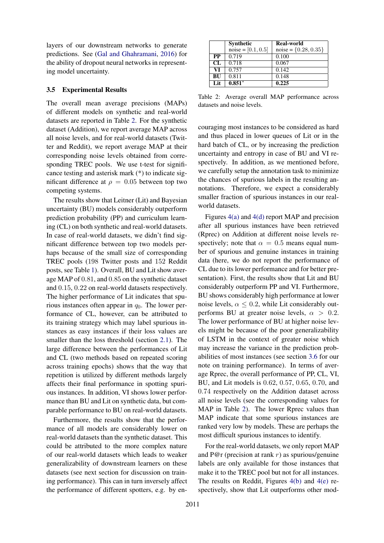layers of our downstream networks to generate predictions. See (Gal and Ghahramani, 2016) for the ability of dropout neural networks in representing model uncertainty.

### 3.5 Experimental Results

The overall mean average precisions (MAPs) of different models on synthetic and real-world datasets are reported in Table 2. For the synthetic dataset (Addition), we report average MAP across all noise levels, and for real-world datasets (Twitter and Reddit), we report average MAP at their corresponding noise levels obtained from corresponding TREC pools. We use t-test for significance testing and asterisk mark (\*) to indicate significant difference at  $\rho = 0.05$  between top two competing systems.

The results show that Leitner (Lit) and Bayesian uncertainty (BU) models considerably outperform prediction probability (PP) and curriculum learning (CL) on both synthetic and real-world datasets. In case of real-world datasets, we didn't find significant difference between top two models perhaps because of the small size of corresponding TREC pools (198 Twitter posts and 152 Reddit posts, see Table 1). Overall, BU and Lit show average MAP of 0.81, and 0.85 on the synthetic dataset and 0.15, 0.22 on real-world datasets respectively. The higher performance of Lit indicates that spurious instances often appear in  $q_0$ . The lower performance of CL, however, can be attributed to its training strategy which may label spurious instances as easy instances if their loss values are smaller than the loss threshold (section 2.1). The large difference between the performances of Lit and CL (two methods based on repeated scoring across training epochs) shows that the way that repetition is utilized by different methods largely affects their final performance in spotting spurious instances. In addition, VI shows lower performance than BU and Lit on synthetic data, but comparable performance to BU on real-world datasets.

Furthermore, the results show that the performance of all models are considerably lower on real-world datasets than the synthetic dataset. This could be attributed to the more complex nature of our real-world datasets which leads to weaker generalizability of downstream learners on these datasets (see next section for discussion on training performance). This can in turn inversely affect the performance of different spotters, e.g. by en-

|           | <b>Synthetic</b>     | Real-world               |
|-----------|----------------------|--------------------------|
|           | $noise = [0.1, 0.5]$ | noise = $\{0.28, 0.35\}$ |
| <b>PP</b> | 0.719                | 0.100                    |
| CL        | 0.718                | 0.067                    |
| VI        | 0.757                | 0.142                    |
| BU        | 0.811                | 0.148                    |
| Lit       | $0.851*$             | 0.225                    |

Table 2: Average overall MAP performance across datasets and noise levels.

couraging most instances to be considered as hard and thus placed in lower queues of Lit or in the hard batch of CL, or by increasing the prediction uncertainty and entropy in case of BU and VI respectively. In addition, as we mentioned before, we carefully setup the annotation task to minimize the chances of spurious labels in the resulting annotations. Therefore, we expect a considerably smaller fraction of spurious instances in our realworld datasets.

Figures 4(a) and 4(d) report MAP and precision after all spurious instances have been retrieved (Rprec) on Addition at different noise levels respectively; note that  $\alpha = 0.5$  means equal number of spurious and genuine instances in training data (here, we do not report the performance of CL due to its lower performance and for better presentation). First, the results show that Lit and BU considerably outperform PP and VI. Furthermore, BU shows considerably high performance at lower noise levels,  $\alpha \leq 0.2$ , while Lit considerably outperforms BU at greater noise levels,  $\alpha > 0.2$ . The lower performance of BU at higher noise levels might be because of the poor generalizability of LSTM in the context of greater noise which may increase the variance in the prediction probabilities of most instances (see section 3.6 for our note on training performance). In terms of average Rprec, the overall performance of PP, CL, VI, BU, and Lit models is 0.62, 0.57, 0.65, 0.70, and 0.74 respectively on the Addition dataset across all noise levels (see the corresponding values for MAP in Table 2). The lower Rprec values than MAP indicate that some spurious instances are ranked very low by models. These are perhaps the most difficult spurious instances to identify.

For the real-world datasets, we only report MAP and P@r (precision at rank  $r$ ) as spurious/genuine labels are only available for those instances that make it to the TREC pool but not for all instances. The results on Reddit, Figures 4(b) and 4(e) respectively, show that Lit outperforms other mod-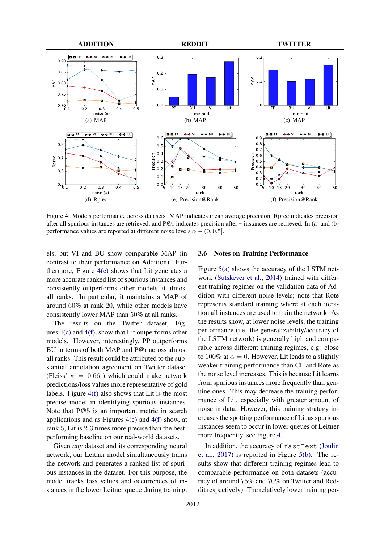

Figure 4: Models performance across datasets. MAP indicates mean average precision, Rprec indicates precision after all spurious instances are retrieved, and P@r indicates precision after r instances are retrieved. In (a) and (b) performance values are reported at different noise levels  $\alpha \in (0, 0.5]$ .

els, but VI and BU show comparable MAP (in contrast to their performance on Addition). Furthermore, Figure 4(e) shows that Lit generates a more accurate ranked list of spurious instances and consistently outperforms other models at almost all ranks. In particular, it maintains a MAP of around 60% at rank 20, while other models have consistently lower MAP than 50% at all ranks.

The results on the Twitter dataset, Figures 4(c) and 4(f), show that Lit outperforms other models. However, interestingly, PP outperforms BU in terms of both MAP and P@r across almost all ranks. This result could be attributed to the substantial annotation agreement on Twitter dataset (Fleiss'  $\kappa = 0.66$ ) which could make network predictions/loss values more representative of gold labels. Figure 4(f) also shows that Lit is the most precise model in identifying spurious instances. Note that P@5 is an important metric in search applications and as Figures  $4(e)$  and  $4(f)$  show, at rank 5, Lit is 2-3 times more precise than the bestperforming baseline on our real-world datasets.

Given *any* dataset and its corresponding neural network, our Leitner model simultaneously trains the network and generates a ranked list of spurious instances in the dataset. For this purpose, the model tracks loss values and occurrences of instances in the lower Leitner queue during training.

### 3.6 Notes on Training Performance

Figure 5(a) shows the accuracy of the LSTM network (Sutskever et al., 2014) trained with different training regimes on the validation data of Addition with different noise levels; note that Rote represents standard training where at each iteration all instances are used to train the network. As the results show, at lower noise levels, the training performance (i.e. the generalizability/accuracy of the LSTM network) is generally high and comparable across different training regimes, e.g. close to 100% at  $\alpha = 0$ . However, Lit leads to a slightly weaker training performance than CL and Rote as the noise level increases. This is because Lit learns from spurious instances more frequently than genuine ones. This may decrease the training performance of Lit, especially with greater amount of noise in data. However, this training strategy increases the spotting performance of Lit as spurious instances seem to occur in lower queues of Leitner more frequently, see Figure 4.

In addition, the accuracy of fastText (Joulin et al., 2017) is reported in Figure 5(b). The results show that different training regimes lead to comparable performance on both datasets (accuracy of around 75% and 70% on Twitter and Reddit respectively). The relatively lower training per-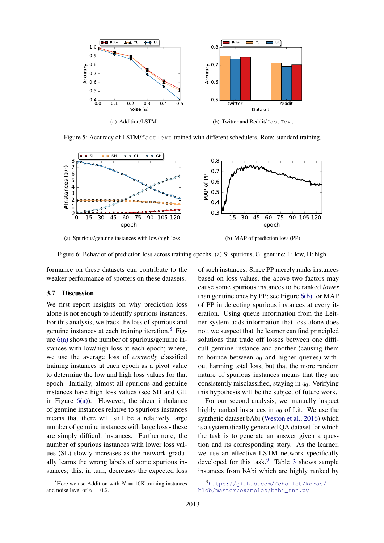

Figure 5: Accuracy of LSTM/fastText trained with different schedulers. Rote: standard training.



Figure 6: Behavior of prediction loss across training epochs. (a) S: spurious, G: genuine; L: low, H: high.

formance on these datasets can contribute to the weaker performance of spotters on these datasets.

# 3.7 Discussion

We first report insights on why prediction loss alone is not enough to identify spurious instances. For this analysis, we track the loss of spurious and genuine instances at each training iteration.<sup>8</sup> Figure 6(a) shows the number of spurious/genuine instances with low/high loss at each epoch; where, we use the average loss of *correctly* classified training instances at each epoch as a pivot value to determine the low and high loss values for that epoch. Initially, almost all spurious and genuine instances have high loss values (see SH and GH in Figure  $6(a)$ ). However, the sheer imbalance of genuine instances relative to spurious instances means that there will still be a relatively large number of genuine instances with large loss - these are simply difficult instances. Furthermore, the number of spurious instances with lower loss values (SL) slowly increases as the network gradually learns the wrong labels of some spurious instances; this, in turn, decreases the expected loss

<sup>8</sup>Here we use Addition with  $N = 10K$  training instances and noise level of  $\alpha = 0.2$ .

of such instances. Since PP merely ranks instances based on loss values, the above two factors may cause some spurious instances to be ranked *lower* than genuine ones by PP; see Figure 6(b) for MAP of PP in detecting spurious instances at every iteration. Using queue information from the Leitner system adds information that loss alone does not; we suspect that the learner can find principled solutions that trade off losses between one difficult genuine instance and another (causing them to bounce between  $q_0$  and higher queues) without harming total loss, but that the more random nature of spurious instances means that they are consistently misclassified, staying in  $q_0$ . Verifying this hypothesis will be the subject of future work.

For our second analysis, we manually inspect highly ranked instances in  $q_0$  of Lit. We use the synthetic dataset bAbi (Weston et al., 2016) which is a systematically generated QA dataset for which the task is to generate an answer given a question and its corresponding story. As the learner, we use an effective LSTM network specifically developed for this task. $9$  Table 3 shows sample instances from bAbi which are highly ranked by

<sup>9</sup>https://github.com/fchollet/keras/ blob/master/examples/babi\_rnn.py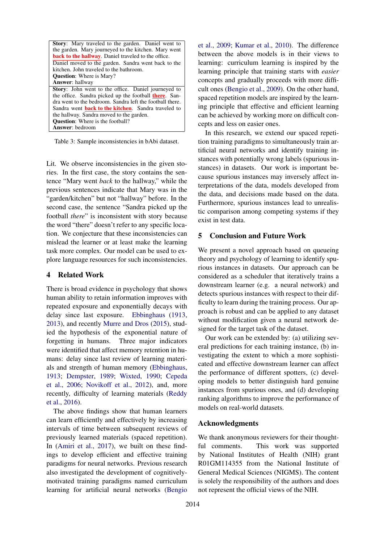| Story: Mary traveled to the garden. Daniel went to            |  |  |
|---------------------------------------------------------------|--|--|
| the garden. Mary journeyed to the kitchen. Mary went          |  |  |
| back to the hallway. Daniel traveled to the office.           |  |  |
| Daniel moved to the garden. Sandra went back to the           |  |  |
| kitchen. John traveled to the bathroom.                       |  |  |
| <b>Question:</b> Where is Mary?                               |  |  |
| <b>Answer:</b> hallway                                        |  |  |
| Story: John went to the office. Daniel journeyed to           |  |  |
| the office. Sandra picked up the football <b>there</b> . San- |  |  |
| dra went to the bedroom. Sandra left the football there.      |  |  |
| Sandra went <b>back to the kitchen</b> . Sandra traveled to   |  |  |
| the hallway. Sandra moved to the garden.                      |  |  |
| <b>Question:</b> Where is the football?                       |  |  |
| Answer: bedroom                                               |  |  |

Table 3: Sample inconsistencies in bAbi dataset.

Lit. We observe inconsistencies in the given stories. In the first case, the story contains the sentence "Mary went *back* to the hallway," while the previous sentences indicate that Mary was in the "garden/kitchen" but not "hallway" before. In the second case, the sentence "Sandra picked up the football *there*" is inconsistent with story because the word "there" doesn't refer to any specific location. We conjecture that these inconsistencies can mislead the learner or at least make the learning task more complex. Our model can be used to explore language resources for such inconsistencies.

### 4 Related Work

There is broad evidence in psychology that shows human ability to retain information improves with repeated exposure and exponentially decays with delay since last exposure. Ebbinghaus (1913, 2013), and recently Murre and Dros (2015), studied the hypothesis of the exponential nature of forgetting in humans. Three major indicators were identified that affect memory retention in humans: delay since last review of learning materials and strength of human memory (Ebbinghaus, 1913; Dempster, 1989; Wixted, 1990; Cepeda et al., 2006; Novikoff et al., 2012), and, more recently, difficulty of learning materials (Reddy et al., 2016).

The above findings show that human learners can learn efficiently and effectively by increasing intervals of time between subsequent reviews of previously learned materials (spaced repetition). In (Amiri et al., 2017), we built on these findings to develop efficient and effective training paradigms for neural networks. Previous research also investigated the development of cognitivelymotivated training paradigms named curriculum learning for artificial neural networks (Bengio

et al., 2009; Kumar et al., 2010). The difference between the above models is in their views to learning: curriculum learning is inspired by the learning principle that training starts with *easier* concepts and gradually proceeds with more difficult ones (Bengio et al., 2009). On the other hand, spaced repetition models are inspired by the learning principle that effective and efficient learning can be achieved by working more on difficult concepts and less on easier ones.

In this research, we extend our spaced repetition training paradigms to simultaneously train artificial neural networks and identify training instances with potentially wrong labels (spurious instances) in datasets. Our work is important because spurious instances may inversely affect interpretations of the data, models developed from the data, and decisions made based on the data. Furthermore, spurious instances lead to unrealistic comparison among competing systems if they exist in test data.

# 5 Conclusion and Future Work

We present a novel approach based on queueing theory and psychology of learning to identify spurious instances in datasets. Our approach can be considered as a scheduler that iteratively trains a downstream learner (e.g. a neural network) and detects spurious instances with respect to their difficulty to learn during the training process. Our approach is robust and can be applied to any dataset without modification given a neural network designed for the target task of the dataset.

Our work can be extended by: (a) utilizing several predictions for each training instance, (b) investigating the extent to which a more sophisticated and effective downstream learner can affect the performance of different spotters, (c) developing models to better distinguish hard genuine instances from spurious ones, and (d) developing ranking algorithms to improve the performance of models on real-world datasets.

### Acknowledgments

We thank anonymous reviewers for their thoughtful comments. This work was supported by National Institutes of Health (NIH) grant R01GM114355 from the National Institute of General Medical Sciences (NIGMS). The content is solely the responsibility of the authors and does not represent the official views of the NIH.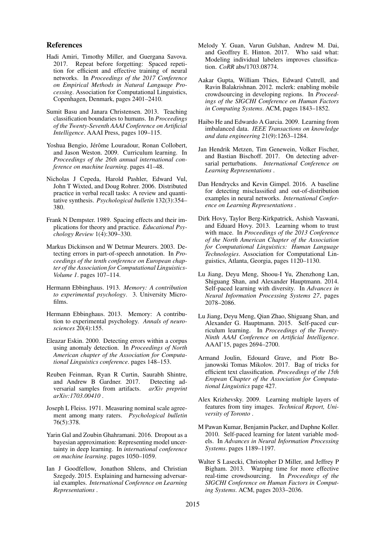### References

- Hadi Amiri, Timothy Miller, and Guergana Savova. 2017. Repeat before forgetting: Spaced repetition for efficient and effective training of neural networks. In *Proceedings of the 2017 Conference on Empirical Methods in Natural Language Processing*. Association for Computational Linguistics, Copenhagen, Denmark, pages 2401–2410.
- Sumit Basu and Janara Christensen. 2013. Teaching classification boundaries to humans. In *Proceedings of the Twenty-Seventh AAAI Conference on Artificial Intelligence*. AAAI Press, pages 109–115.
- Yoshua Bengio, Jérôme Louradour, Ronan Collobert, and Jason Weston. 2009. Curriculum learning. In *Proceedings of the 26th annual international conference on machine learning*. pages 41–48.
- Nicholas J Cepeda, Harold Pashler, Edward Vul, John T Wixted, and Doug Rohrer. 2006. Distributed practice in verbal recall tasks: A review and quantitative synthesis. *Psychological bulletin* 132(3):354– 380.
- Frank N Dempster. 1989. Spacing effects and their implications for theory and practice. *Educational Psychology Review* 1(4):309–330.
- Markus Dickinson and W Detmar Meurers. 2003. Detecting errors in part-of-speech annotation. In *Proceedings of the tenth conference on European chapter of the Association for Computational Linguistics-Volume 1*. pages 107–114.
- Hermann Ebbinghaus. 1913. *Memory: A contribution to experimental psychology*. 3. University Microfilms.
- Hermann Ebbinghaus. 2013. Memory: A contribution to experimental psychology. *Annals of neurosciences* 20(4):155.
- Eleazar Eskin. 2000. Detecting errors within a corpus using anomaly detection. In *Proceedings of North American chapter of the Association for Computational Linguistics conference*. pages 148–153.
- Reuben Feinman, Ryan R Curtin, Saurabh Shintre, and Andrew B Gardner. 2017. Detecting adversarial samples from artifacts. *arXiv preprint arXiv:1703.00410* .
- Joseph L Fleiss. 1971. Measuring nominal scale agreement among many raters. *Psychological bulletin* 76(5):378.
- Yarin Gal and Zoubin Ghahramani. 2016. Dropout as a bayesian approximation: Representing model uncertainty in deep learning. In *international conference on machine learning*. pages 1050–1059.
- Ian J Goodfellow, Jonathon Shlens, and Christian Szegedy. 2015. Explaining and harnessing adversarial examples. *International Conference on Learning Representations* .
- Melody Y. Guan, Varun Gulshan, Andrew M. Dai, and Geoffrey E. Hinton. 2017. Who said what: Modeling individual labelers improves classification. *CoRR* abs/1703.08774.
- Aakar Gupta, William Thies, Edward Cutrell, and Ravin Balakrishnan. 2012. mclerk: enabling mobile crowdsourcing in developing regions. In *Proceedings of the SIGCHI Conference on Human Factors in Computing Systems*. ACM, pages 1843–1852.
- Haibo He and Edwardo A Garcia. 2009. Learning from imbalanced data. *IEEE Transactions on knowledge and data engineering* 21(9):1263–1284.
- Jan Hendrik Metzen, Tim Genewein, Volker Fischer, and Bastian Bischoff. 2017. On detecting adversarial perturbations. *International Conference on Learning Representations* .
- Dan Hendrycks and Kevin Gimpel. 2016. A baseline for detecting misclassified and out-of-distribution examples in neural networks. *International Conference on Learning Representations* .
- Dirk Hovy, Taylor Berg-Kirkpatrick, Ashish Vaswani, and Eduard Hovy. 2013. Learning whom to trust with mace. In *Proceedings of the 2013 Conference of the North American Chapter of the Association for Computational Linguistics: Human Language Technologies*. Association for Computational Linguistics, Atlanta, Georgia, pages 1120–1130.
- Lu Jiang, Deyu Meng, Shoou-I Yu, Zhenzhong Lan, Shiguang Shan, and Alexander Hauptmann. 2014. Self-paced learning with diversity. In *Advances in Neural Information Processing Systems 27*, pages 2078–2086.
- Lu Jiang, Deyu Meng, Qian Zhao, Shiguang Shan, and Alexander G. Hauptmann. 2015. Self-paced curriculum learning. In *Proceedings of the Twenty-Ninth AAAI Conference on Artificial Intelligence*. AAAI'15, pages 2694–2700.
- Armand Joulin, Edouard Grave, and Piotr Bojanowski Tomas Mikolov. 2017. Bag of tricks for efficient text classification. *Proceedings of the 15th Eropean Chapter of the Association for Computational Linguistics* page 427.
- Alex Krizhevsky. 2009. Learning multiple layers of features from tiny images. *Technical Report, University of Toronto* .
- M Pawan Kumar, Benjamin Packer, and Daphne Koller. 2010. Self-paced learning for latent variable models. In *Advances in Neural Information Processing Systems*. pages 1189–1197.
- Walter S Lasecki, Christopher D Miller, and Jeffrey P Bigham. 2013. Warping time for more effective real-time crowdsourcing. In *Proceedings of the SIGCHI Conference on Human Factors in Computing Systems*. ACM, pages 2033–2036.